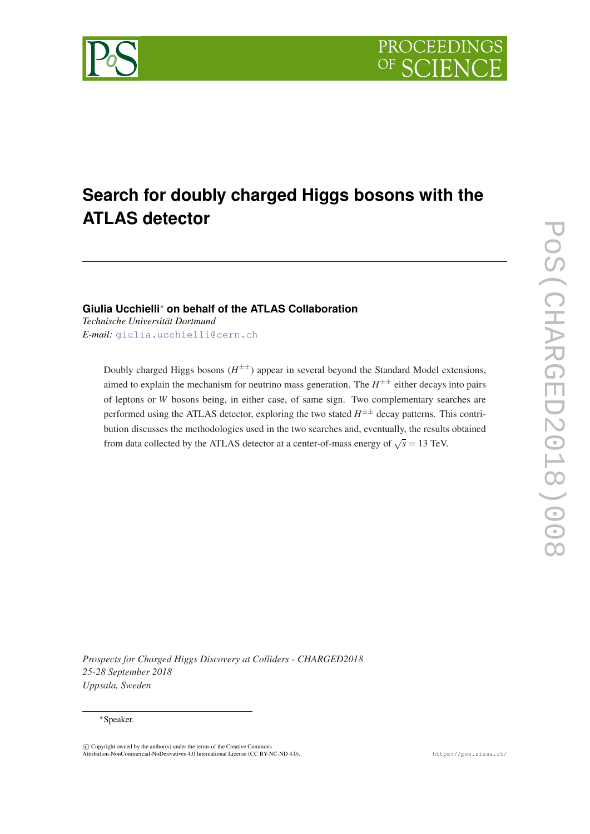<span id="page-0-0"></span>

# **Search for doubly charged Higgs bosons with the ATLAS detector**

# **Giulia Ucchielli**<sup>∗</sup> **on behalf of the ATLAS Collaboration**

*Technische Universität Dortmund E-mail:* [giulia.ucchielli@cern.ch](mailto:giulia.ucchielli@cern.ch)

> Doubly charged Higgs bosons  $(H^{\pm\pm})$  appear in several beyond the Standard Model extensions, aimed to explain the mechanism for neutrino mass generation. The  $H^{\pm\pm}$  either decays into pairs of leptons or *W* bosons being, in either case, of same sign. Two complementary searches are performed using the ATLAS detector, exploring the two stated  $H^{\pm\pm}$  decay patterns. This contribution discusses the methodologies used in the two searches and, eventually, the results obtained from data collected by the ATLAS detector at a center-of-mass energy of  $\sqrt{s} = 13$  TeV.

*Prospects for Charged Higgs Discovery at Colliders - CHARGED2018 25-28 September 2018 Uppsala, Sweden*

#### <sup>∗</sup>Speaker.

c Copyright owned by the author(s) under the terms of the Creative Commons Attribution-NonCommercial-NoDerivatives 4.0 International License (CC BY-NC-ND 4.0). https://pos.sissa.it/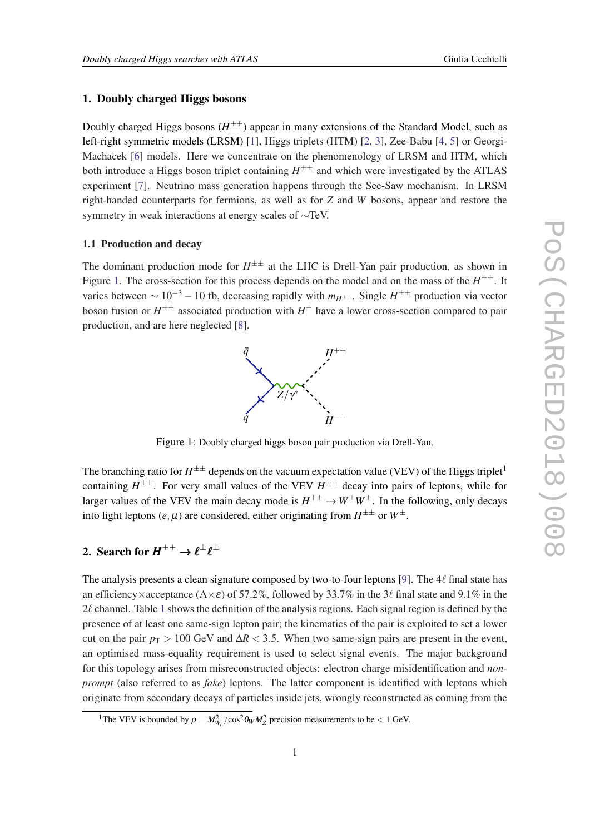# 1. Doubly charged Higgs bosons

Doubly charged Higgs bosons ( $H^{\pm\pm}$ ) appear in many extensions of the Standard Model, such as left-right symmetric models (LRSM) [\[1\]](#page-8-0), Higgs triplets (HTM) [\[2,](#page-8-0) [3](#page-8-0)], Zee-Babu [[4](#page-8-0), [5\]](#page-8-0) or Georgi-Machacek [\[6\]](#page-8-0) models. Here we concentrate on the phenomenology of LRSM and HTM, which both introduce a Higgs boson triplet containing  $H^{\pm\pm}$  and which were investigated by the ATLAS experiment [[7](#page-8-0)]. Neutrino mass generation happens through the See-Saw mechanism. In LRSM right-handed counterparts for fermions, as well as for *Z* and *W* bosons, appear and restore the symmetry in weak interactions at energy scales of ∼TeV.

#### 1.1 Production and decay

The dominant production mode for  $H^{\pm\pm}$  at the LHC is Drell-Yan pair production, as shown in Figure 1. The cross-section for this process depends on the model and on the mass of the  $H^{\pm\pm}$ . It varies between ~ 10<sup>-3</sup> − 10 fb, decreasing rapidly with  $m_{H^{\pm\pm}}$ . Single  $H^{\pm\pm}$  production via vector boson fusion or  $H^{\pm\pm}$  associated production with  $H^\pm$  have a lower cross-section compared to pair production, and are here neglected [\[8\]](#page-8-0).



Figure 1: Doubly charged higgs boson pair production via Drell-Yan.

The branching ratio for  $H^{\pm\pm}$  depends on the vacuum expectation value (VEV) of the Higgs triplet<sup>1</sup> containing  $H^{\pm\pm}$ . For very small values of the VEV  $H^{\pm\pm}$  decay into pairs of leptons, while for larger values of the VEV the main decay mode is  $H^{\pm\pm} \to W^{\pm}W^{\pm}$ . In the following, only decays into light leptons  $(e, \mu)$  are considered, either originating from  $H^{\pm\pm}$  or  $W^\pm$ .

# 2. Search for  $H^{\pm\pm} \to \ell^\pm \ell^\pm$

The analysis presents a clean signature composed by two-to-four leptons [[9\]](#page-8-0). The  $4\ell$  final state has an efficiency×acceptance (A× $\varepsilon$ ) of 57.2%, followed by 33.7% in the 3 $\ell$  final state and 9.1% in the  $2\ell$  channel. Table [1](#page-2-0) shows the definition of the analysis regions. Each signal region is defined by the presence of at least one same-sign lepton pair; the kinematics of the pair is exploited to set a lower cut on the pair  $p_T > 100$  GeV and  $\Delta R < 3.5$ . When two same-sign pairs are present in the event, an optimised mass-equality requirement is used to select signal events. The major background for this topology arises from misreconstructed objects: electron charge misidentification and *nonprompt* (also referred to as *fake*) leptons. The latter component is identified with leptons which originate from secondary decays of particles inside jets, wrongly reconstructed as coming from the

<sup>&</sup>lt;sup>1</sup>The VEV is bounded by  $\rho = M_{W_L}^2 / \cos^2 \theta_W M_Z^2$  precision measurements to be < 1 GeV.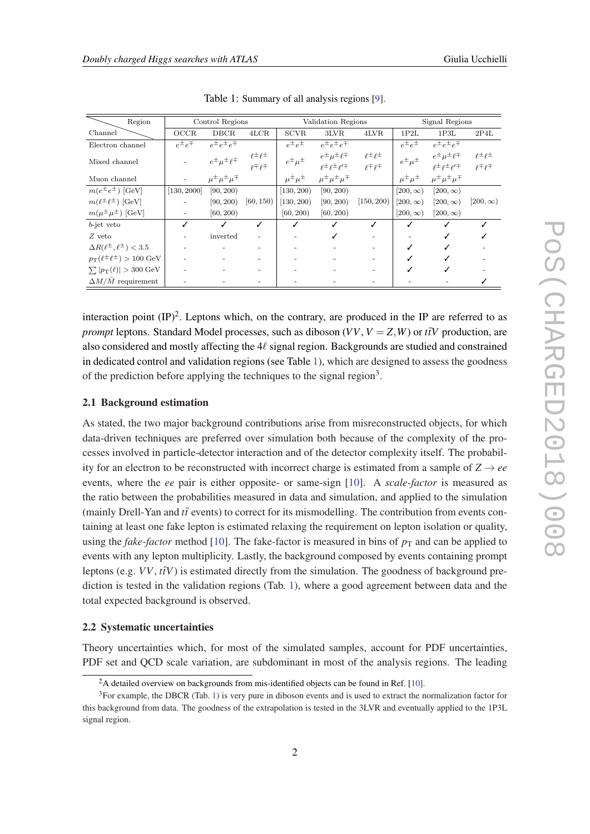<span id="page-2-0"></span> $\equiv$ 

| Region                                       |                  | Control Regions                 |                                                                      |                       | Validation Regions                                                   |                                                |                       | Signal Regions                                                  |                                                |
|----------------------------------------------|------------------|---------------------------------|----------------------------------------------------------------------|-----------------------|----------------------------------------------------------------------|------------------------------------------------|-----------------------|-----------------------------------------------------------------|------------------------------------------------|
| Channel                                      | OCCR             | <b>DBCR</b>                     | 4LCR                                                                 | <b>SCVR</b>           | 3LVR                                                                 | 4LVR                                           | 1P2L                  | 1P3L                                                            | 2P4L                                           |
| Electron channel                             | $e^{\pm}e^{\mp}$ | $e^{\pm}e^{\pm}e^{\mp}$         |                                                                      | $e^{\pm}e^{\pm}$      | $e^{\pm}e^{\pm}e^{\mp}$                                              |                                                | $e^{\pm}e^{\pm}$      | $e^{\pm}e^{\pm}e^{\mp}$                                         |                                                |
| Mixed channel                                |                  | $e^{\pm}\mu^{\pm}\ell^{\mp}$    | $\begin{array}{c} \ell^\pm \ell^\pm\\ \ell^\mp \ell^\mp \end{array}$ | $e^{\pm}\mu^{\pm}$    | $e^{\pm} \mu^{\pm} \ell^{\mp}$<br>$\ell^\pm\ell^\pm\ell^{\prime\mp}$ | $\ell^{\pm} \ell^{\pm}$<br>$\ell \pm \ell \pm$ | $e^{\pm} \mu^{\pm}$   | $e^{\pm} \mu^{\pm} \ell^{\mp}$<br>$\rho \pm \rho \pm \rho' \mp$ | $\ell^{\pm} \ell^{\pm}$<br>$\rho \mp \rho \mp$ |
| Muon channel                                 |                  | $\mu^{\pm} \mu^{\pm} \mu^{\mp}$ |                                                                      | $\mu^{\pm} \mu^{\pm}$ | $\mu^{\pm} \mu^{\pm} \mu^{\mp}$                                      |                                                | $\mu^{\pm} \mu^{\pm}$ | $\mu^{\pm} \mu^{\pm} \mu^{\mp}$                                 |                                                |
| $m(e^{\pm}e^{\pm})$ [GeV]                    | [130, 2000]      | [90, 200)                       |                                                                      | [130, 200]            | [90, 200)                                                            |                                                | $[200,\infty)$        | $[200,\infty)$                                                  |                                                |
| $m(\ell^{\pm} \ell^{\pm})$ [GeV]             |                  | [90, 200)                       | [60, 150)                                                            | [130, 200]            | [90, 200)                                                            | [150, 200]                                     | $[200,\infty)$        | $[200,\infty)$                                                  | $[200,\infty)$                                 |
| $m(\mu^{\pm}\mu^{\pm})$ [GeV]                |                  | [60, 200)                       |                                                                      | [60, 200)             | [60, 200)                                                            |                                                | $[200,\infty)$        | $[200,\infty)$                                                  |                                                |
| b-jet veto                                   |                  | ✓                               | ℐ                                                                    |                       | ✓                                                                    | ✓                                              |                       |                                                                 |                                                |
| $Z$ veto                                     |                  | inverted                        |                                                                      |                       | ✓                                                                    |                                                |                       |                                                                 |                                                |
| $\Delta R(\ell^{\pm},\ell^{\pm}) < 3.5$      |                  |                                 |                                                                      |                       |                                                                      |                                                |                       |                                                                 |                                                |
| $p_T(\ell^{\pm}\ell^{\pm}) > 100~\text{GeV}$ |                  |                                 |                                                                      |                       |                                                                      |                                                |                       |                                                                 |                                                |
| $\sum  p_{\rm T}(\ell)  > 300~{\rm GeV}$     |                  |                                 |                                                                      |                       |                                                                      |                                                |                       |                                                                 |                                                |
| $\Delta M/\bar{M}$ requirement               |                  |                                 |                                                                      |                       |                                                                      |                                                |                       |                                                                 |                                                |
|                                              |                  |                                 |                                                                      |                       |                                                                      |                                                |                       |                                                                 |                                                |

Table 1: Summary of all analysis regions [[9\]](#page-8-0).

interaction point  $(\text{IP})^2$ . Leptons which, on the contrary, are produced in the IP are referred to as *prompt* leptons. Standard Model processes, such as diboson  $(VV, V = Z, W)$  or  $t\bar{t}V$  production, are also considered and mostly affecting the  $4\ell$  signal region. Backgrounds are studied and constrained in dedicated control and validation regions (see Table 1), which are designed to assess the goodness of the prediction before applying the techniques to the signal region<sup>3</sup>.

#### 2.1 Background estimation

As stated, the two major background contributions arise from misreconstructed objects, for which data-driven techniques are preferred over simulation both because of the complexity of the processes involved in particle-detector interaction and of the detector complexity itself. The probability for an electron to be reconstructed with incorrect charge is estimated from a sample of  $Z \rightarrow ee$ events, where the *ee* pair is either opposite- or same-sign [[10\]](#page-8-0). A *scale-factor* is measured as the ratio between the probabilities measured in data and simulation, and applied to the simulation (mainly Drell-Yan and  $t\bar{t}$  events) to correct for its mismodelling. The contribution from events containing at least one fake lepton is estimated relaxing the requirement on lepton isolation or quality, using the *fake-factor* method [[10\]](#page-8-0). The fake-factor is measured in bins of  $p<sub>T</sub>$  and can be applied to events with any lepton multiplicity. Lastly, the background composed by events containing prompt leptons (e.g.  $VV$ ,  $t\bar{t}V$ ) is estimated directly from the simulation. The goodness of background prediction is tested in the validation regions (Tab. 1), where a good agreement between data and the total expected background is observed.

#### 2.2 Systematic uncertainties

Theory uncertainties which, for most of the simulated samples, account for PDF uncertainties, PDF set and QCD scale variation, are subdominant in most of the analysis regions. The leading

<sup>&</sup>lt;sup>2</sup>A detailed overview on backgrounds from mis-identified objects can be found in Ref. [[10\]](#page-8-0).

<sup>&</sup>lt;sup>3</sup>For example, the DBCR (Tab. 1) is very pure in diboson events and is used to extract the normalization factor for this background from data. The goodness of the extrapolation is tested in the 3LVR and eventually applied to the 1P3L signal region.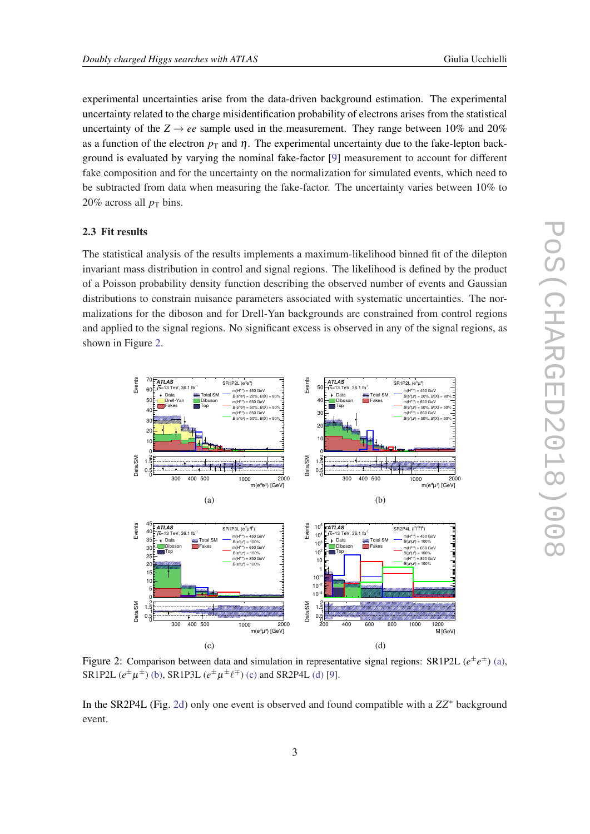<span id="page-3-0"></span>experimental uncertainties arise from the data-driven background estimation. The experimental uncertainty related to the charge misidentification probability of electrons arises from the statistical uncertainty of the  $Z \rightarrow ee$  sample used in the measurement. They range between 10% and 20% as a function of the electron  $p<sub>T</sub>$  and  $\eta$ . The experimental uncertainty due to the fake-lepton background is evaluated by varying the nominal fake-factor [[9](#page-8-0)] measurement to account for different fake composition and for the uncertainty on the normalization for simulated events, which need to be subtracted from data when measuring the fake-factor. The uncertainty varies between 10% to  $20\%$  across all  $p<sub>T</sub>$  bins.

#### 2.3 Fit results

The statistical analysis of the results implements a maximum-likelihood binned fit of the dilepton invariant mass distribution in control and signal regions. The likelihood is defined by the product of a Poisson probability density function describing the observed number of events and Gaussian distributions to constrain nuisance parameters associated with systematic uncertainties. The normalizations for the diboson and for Drell-Yan backgrounds are constrained from control regions and applied to the signal regions. No significant excess is observed in any of the signal regions, as shown in Figure 2.



Figure 2: Comparison between data and simulation in representative signal regions: SR1P2L  $(e^{\pm}e^{\pm})$  [\(a\)](#page-0-0), SR1P2L  $(e^{\pm}\mu^{\pm})$  [\(b\)](#page-0-0), SR1P3L  $(e^{\pm}\mu^{\pm}\ell^{\mp})$  [\(c\)](#page-0-0) and SR2P4L [\(d\)](#page-0-0) [[9\]](#page-8-0).

In the SR2P4L (Fig. 2d) only one event is observed and found compatible with a *ZZ*<sup>∗</sup> background event.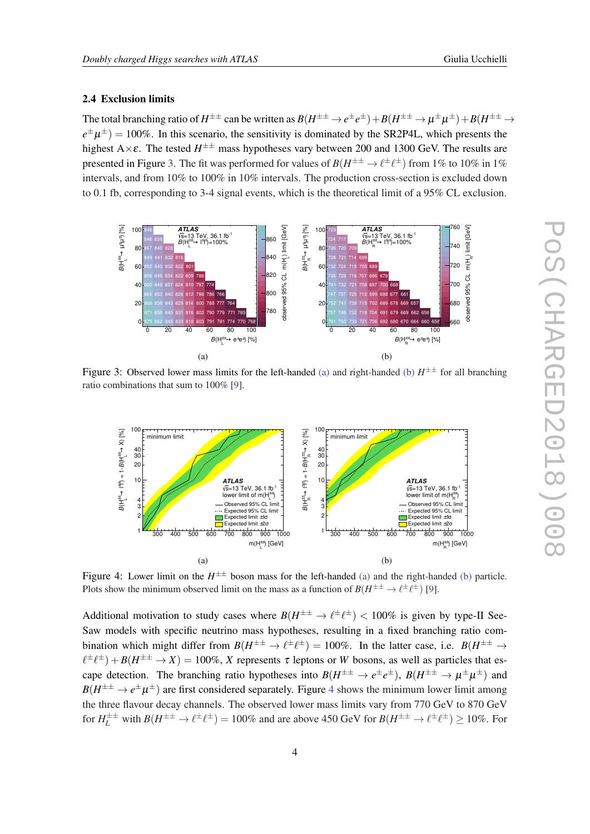#### 2.4 Exclusion limits

The total branching ratio of  $H^{\pm\pm}$  can be written as  $B(H^{\pm\pm}\to e^\pm e^\pm)+B(H^{\pm\pm}\to \mu^\pm \mu^\pm)+B(H^{\pm\pm}\to \mu^\pm e^\pm)$  $e^{\pm}\mu^{\pm}$ ) = 100%. In this scenario, the sensitivity is dominated by the SR2P4L, which presents the highest A $\times$ ε. The tested  $H^{\pm\pm}$  mass hypotheses vary between 200 and 1300 GeV. The results are presented in Figure 3. The fit was performed for values of  $B(H^{\pm \pm} \to \ell^{\pm} \ell^{\pm})$  from 1% to 10% in 1% intervals, and from 10% to 100% in 10% intervals. The production cross-section is excluded down to 0.1 fb, corresponding to 3-4 signal events, which is the theoretical limit of a 95% CL exclusion.



Figure 3: Observed lower mass limits for the left-handed [\(a\)](#page-0-0) and right-handed [\(b\)](#page-0-0)  $H^{\pm\pm}$  for all branching ratio combinations that sum to 100% [\[9](#page-8-0)].



Figure 4: Lower limit on the  $H^{\pm\pm}$  boson mass for the left-handed [\(a\)](#page-0-0) and the right-handed [\(b\)](#page-0-0) particle. Plots show the minimum observed limit on the mass as a function of  $B(H^{\pm \pm} \to \ell^{\pm} \ell^{\pm})$  [[9\]](#page-8-0).

Additional motivation to study cases where  $B(H^{\pm \pm} \to \ell^{\pm} \ell^{\pm}) < 100\%$  is given by type-II See-Saw models with specific neutrino mass hypotheses, resulting in a fixed branching ratio combination which might differ from  $B(H^{\pm \pm} \to \ell^{\pm} \ell^{\pm}) = 100\%$ . In the latter case, i.e.  $B(H^{\pm \pm} \to \ell^{\pm} \ell^{\pm}) = 100\%$ .  $\ell^{\pm}\ell^{\pm}$ ) + *B*( $H^{\pm\pm}$   $\rightarrow$  *X*) = 100%, *X* represents  $\tau$  leptons or *W* bosons, as well as particles that escape detection. The branching ratio hypotheses into  $B(H^{\pm \pm} \to e^{\pm}e^{\pm}), B(H^{\pm \pm} \to \mu^{\pm} \mu^{\pm})$  and  $B(H^{\pm\pm} \to e^{\pm}\mu^{\pm})$  are first considered separately. Figure 4 shows the minimum lower limit among the three flavour decay channels. The observed lower mass limits vary from 770 GeV to 870 GeV for  $H_L^{\pm \pm}$  with  $B(H^{\pm \pm} \to \ell^{\pm} \ell^{\pm}) = 100\%$  and are above 450 GeV for  $B(H^{\pm \pm} \to \ell^{\pm} \ell^{\pm}) \ge 10\%$ . For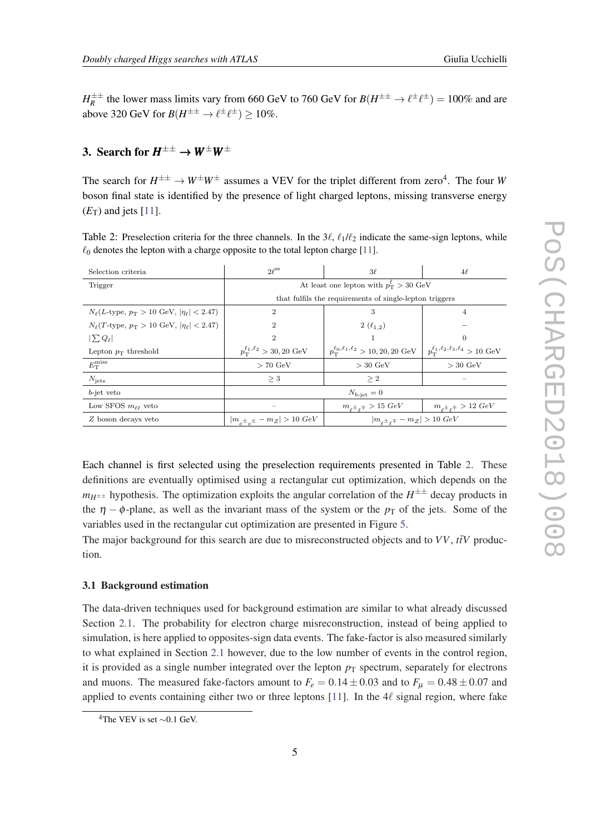$H_R^{\pm\pm}$  the lower mass limits vary from 660 GeV to 760 GeV for  $B(H^{\pm\pm} \to \ell^{\pm} \ell^{\pm}) = 100\%$  and are above 320 GeV for  $B(H^{\pm \pm} \to \ell^{\pm} \ell^{\pm}) \geq 10\%$ .

# 3. Search for  $H^{\pm\pm} \to W^\pm W^\pm$

The search for  $H^{\pm\pm} \to W^{\pm}W^{\pm}$  assumes a VEV for the triplet different from zero<sup>4</sup>. The four W boson final state is identified by the presence of light charged leptons, missing transverse energy  $(E_T)$  and jets [\[11](#page-8-0)].

Table 2: Preselection criteria for the three channels. In the  $3\ell$ ,  $\ell_1/\ell_2$  indicate the same-sign leptons, while  $\ell_0$  denotes the lepton with a charge opposite to the total lepton charge [\[11](#page-8-0)].

| Selection criteria                                                             | $2\ell^{ss}$                                            | $3\ell$                                                            | $4\ell$                                                  |  |  |  |  |
|--------------------------------------------------------------------------------|---------------------------------------------------------|--------------------------------------------------------------------|----------------------------------------------------------|--|--|--|--|
| Trigger                                                                        | At least one lepton with $p_T^{\ell} > 30 \text{ GeV}$  |                                                                    |                                                          |  |  |  |  |
|                                                                                | that fulfils the requirements of single-lepton triggers |                                                                    |                                                          |  |  |  |  |
| $N_{\ell}(L\text{-type}, p_{\text{T}} > 10 \text{ GeV},  \eta_{\ell}  < 2.47)$ | 2                                                       | 3                                                                  | 4                                                        |  |  |  |  |
| $N_{\ell}(T\text{-type}, p_{\text{T}} > 10 \text{ GeV},  \eta_{\ell}  < 2.47)$ |                                                         | $2(\ell_{1,2})$                                                    |                                                          |  |  |  |  |
| $ \sum Q_{\ell} $                                                              | 2                                                       |                                                                    | $\theta$                                                 |  |  |  |  |
| Lepton $p_T$ threshold                                                         | $p_{\rm T}^{\ell_1,\ell_2} > 30,20~{\rm GeV}$           | $p_{\textrm{T}}^{\ell_0,\ell_1,\ell_2} > 10, 20, 20 \textrm{ GeV}$ | $p_{\rm T}^{\ell_1,\ell_2,\ell_3,\ell_4} > 10~{\rm GeV}$ |  |  |  |  |
| $E_{\rm T}^{\rm miss}$                                                         | $> 70 \text{ GeV}$                                      | $>$ 30 GeV                                                         | $>$ 30 GeV                                               |  |  |  |  |
| $N_{\rm jets}$                                                                 | $\geq 3$                                                | $\geq 2$                                                           |                                                          |  |  |  |  |
| $b$ -jet veto                                                                  |                                                         | $N_{b-\text{iet}}=0$                                               |                                                          |  |  |  |  |
| Low SFOS $m_{\ell\ell}$ veto                                                   |                                                         | $m_{\rho^{\pm}\rho^{\mp}} > 15 \; GeV$                             | $m_{\rho^{\pm}\rho^{\mp}} > 12 \; GeV$                   |  |  |  |  |
| $Z$ boson decays veto                                                          | $ m_{e^{\pm}\,e^{\pm}}-m_Z >10\ GeV$                    | $ m_{\rho^{\pm}\rho^{\mp}}-m_Z >10~GeV$                            |                                                          |  |  |  |  |

Each channel is first selected using the preselection requirements presented in Table 2. These definitions are eventually optimised using a rectangular cut optimization, which depends on the  $m_{H^{\pm\pm}}$  hypothesis. The optimization exploits the angular correlation of the  $H^{\pm\pm}$  decay products in the  $\eta$  –  $\phi$ -plane, as well as the invariant mass of the system or the  $p<sub>T</sub>$  of the jets. Some of the variables used in the rectangular cut optimization are presented in Figure [5](#page-6-0).

The major background for this search are due to misreconstructed objects and to  $VV$ ,  $t\bar{t}V$  production.

#### 3.1 Background estimation

The data-driven techniques used for background estimation are similar to what already discussed Section [2.1.](#page-2-0) The probability for electron charge misreconstruction, instead of being applied to simulation, is here applied to opposites-sign data events. The fake-factor is also measured similarly to what explained in Section [2.1](#page-2-0) however, due to the low number of events in the control region, it is provided as a single number integrated over the lepton  $p<sub>T</sub>$  spectrum, separately for electrons and muons. The measured fake-factors amount to  $F_e = 0.14 \pm 0.03$  and to  $F_\mu = 0.48 \pm 0.07$  and applied to events containing either two or three leptons [[11\]](#page-8-0). In the  $4\ell$  signal region, where fake

<sup>&</sup>lt;sup>4</sup>The VEV is set ~0.1 GeV.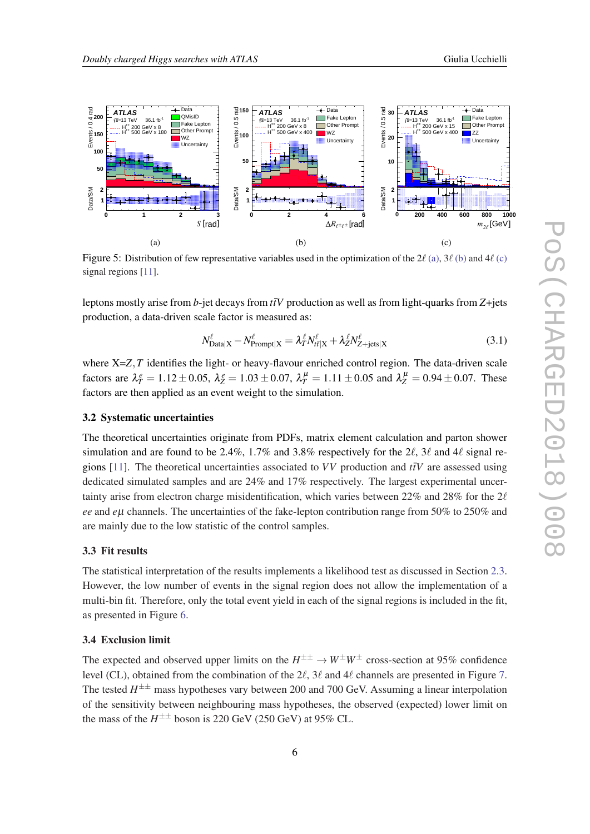<span id="page-6-0"></span>

Figure 5: Distribution of few representative variables used in the optimization of the 2 $\ell$  [\(a\)](#page-0-0), 3 $\ell$  [\(b\)](#page-0-0) and 4 $\ell$  [\(c\)](#page-0-0) signal regions [[11\]](#page-8-0).

leptons mostly arise from *b*-jet decays from  $t\bar{t}V$  production as well as from light-quarks from *Z*+jets production, a data-driven scale factor is measured as:

$$
N_{\text{Data}|X}^{\ell} - N_{\text{Frompt}|X}^{\ell} = \lambda_T^{\ell} N_{t\bar{t}|X}^{\ell} + \lambda_Z^{\ell} N_{Z+\text{jets}|X}^{\ell}
$$
\n(3.1)

where X=*Z*, *T* identifies the light- or heavy-flavour enriched control region. The data-driven scale factors are  $\lambda_T^e = 1.12 \pm 0.05$ ,  $\lambda_Z^e = 1.03 \pm 0.07$ ,  $\lambda_T^{\mu} = 1.11 \pm 0.05$  and  $\lambda_Z^{\mu} = 0.94 \pm 0.07$ . These factors are then applied as an event weight to the simulation.

#### 3.2 Systematic uncertainties

The theoretical uncertainties originate from PDFs, matrix element calculation and parton shower simulation and are found to be 2.4%, 1.7% and 3.8% respectively for the 2 $\ell$ , 3 $\ell$  and 4 $\ell$  signal regions  $[11]$  $[11]$ . The theoretical uncertainties associated to *VV* production and  $t\bar{t}V$  are assessed using dedicated simulated samples and are 24% and 17% respectively. The largest experimental uncertainty arise from electron charge misidentification, which varies between 22% and 28% for the  $2\ell$ *ee* and *e*µ channels. The uncertainties of the fake-lepton contribution range from 50% to 250% and are mainly due to the low statistic of the control samples.

#### 3.3 Fit results

The statistical interpretation of the results implements a likelihood test as discussed in Section [2.3](#page-3-0). However, the low number of events in the signal region does not allow the implementation of a multi-bin fit. Therefore, only the total event yield in each of the signal regions is included in the fit, as presented in Figure [6.](#page-7-0)

#### 3.4 Exclusion limit

The expected and observed upper limits on the  $H^{\pm\pm} \to W^{\pm}W^{\pm}$  cross-section at 95% confidence level (CL), obtained from the combination of the  $2\ell$ ,  $3\ell$  and  $4\ell$  channels are presented in Figure [7](#page-7-0). The tested  $H^{\pm\pm}$  mass hypotheses vary between 200 and 700 GeV. Assuming a linear interpolation of the sensitivity between neighbouring mass hypotheses, the observed (expected) lower limit on the mass of the  $H^{\pm\pm}$  boson is 220 GeV (250 GeV) at 95% CL.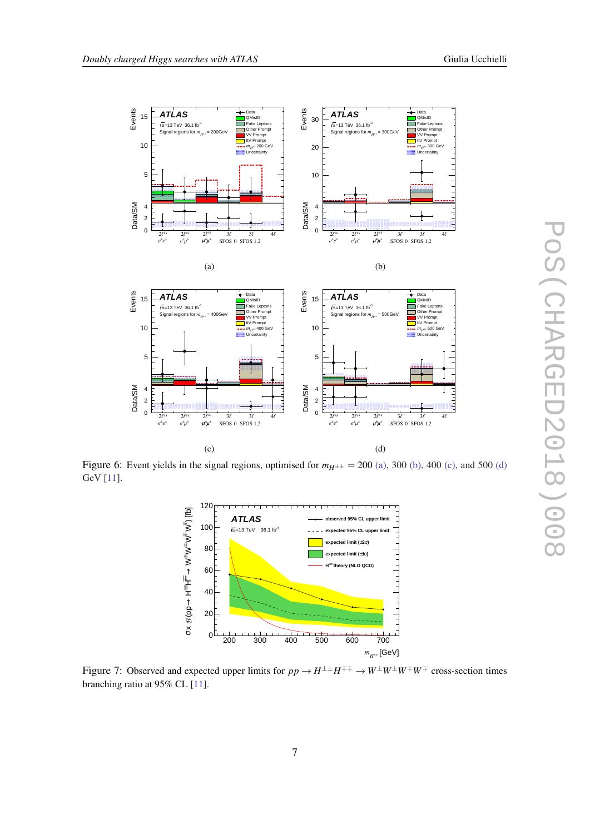<span id="page-7-0"></span>

Figure 6: Event yields in the signal regions, optimised for  $m_{H^{\pm\pm}} = 200$  [\(a\),](#page-0-0) 300 [\(b\),](#page-0-0) 400 [\(c\),](#page-0-0) and 500 [\(d\)](#page-0-0) GeV [[11\]](#page-8-0).



Figure 7: Observed and expected upper limits for  $pp \to H^{\pm\pm}H^{\mp\mp} \to W^{\pm}W^{\pm}W^{\mp}W^{\mp}$  cross-section times branching ratio at 95% CL [\[11](#page-8-0)].